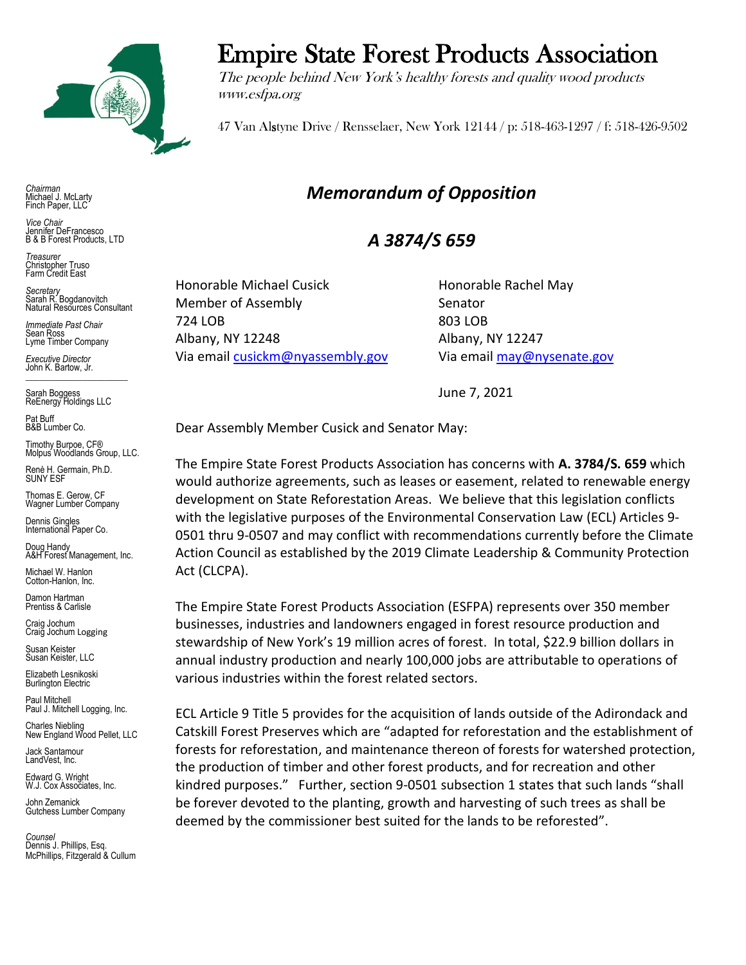

*Chairman* Michael J. McLarty Finch Paper, LLC

*Vice Chair* Jennifer DeFrancesco B & B Forest Products, LTD

*Treasurer* Christopher Truso Farm Credit East

*Secretary* Sarah R. Bogdanovitch Natural Resources Consultant

*Immediate Past Chair* Sean Ross Lyme Timber Company

*Executive Director* John K. Bartow, Jr.  $\mathcal{L}_\text{max}$  , we can also the set of the set of the set of the set of the set of the set of the set of the set of the set of the set of the set of the set of the set of the set of the set of the set of the set of the se

Sarah Boggess ReEnergy Holdings LLC

Pat Buff B&B Lumber Co.

Timothy Burpoe, CF® Molpus Woodlands Group, LLC.

Renè H. Germain, Ph.D. SUNY ESF

Thomas E. Gerow, CF Wagner Lumber Company

Dennis Gingles International Paper Co.

Doug Handy A&H Forest Management, Inc.

Michael W. Hanlon Cotton-Hanlon, Inc.

Damon Hartman Prentiss & Carlisle

Craig Jochum Craig Jochum Logging

Susan Keister Susan Keister, LLC

Elizabeth Lesnikoski **Burlington Electric** 

Paul Mitchell Paul J. Mitchell Logging, Inc.

Charles Niebling New England Wood Pellet, LLC

Jack Santamour LandVest, Inc.

Edward G. Wright W.J. Cox Associates, Inc.

John Zemanick Gutchess Lumber Company

*Counsel* Dennis J. Phillips, Esq. McPhillips, Fitzgerald & Cullum

## Empire State Forest Products Association

The people behind New York's healthy forests and quality wood products www.esfpa.org

47 Van Alstyne Drive / Rensselaer, New York 12144 / p: 518-463-1297 / f: 518-426-9502

## *Memorandum of Opposition*

## *A 3874/S 659*

Honorable Michael Cusick Honorable Rachel May Member of Assembly Senator 724 LOB 803 LOB Albany, NY 12248 Albany, NY 12247 Via email [cusickm@nyassembly.gov](mailto:cusickm@nyassembly.gov) Via emai[l may@nysenate.gov](mailto:may@nysenate.gov)

June 7, 2021

Dear Assembly Member Cusick and Senator May:

The Empire State Forest Products Association has concerns with **A. 3784/S. 659** which would authorize agreements, such as leases or easement, related to renewable energy development on State Reforestation Areas. We believe that this legislation conflicts with the legislative purposes of the Environmental Conservation Law (ECL) Articles 9- 0501 thru 9-0507 and may conflict with recommendations currently before the Climate Action Council as established by the 2019 Climate Leadership & Community Protection Act (CLCPA).

The Empire State Forest Products Association (ESFPA) represents over 350 member businesses, industries and landowners engaged in forest resource production and stewardship of New York's 19 million acres of forest. In total, \$22.9 billion dollars in annual industry production and nearly 100,000 jobs are attributable to operations of various industries within the forest related sectors.

ECL Article 9 Title 5 provides for the acquisition of lands outside of the Adirondack and Catskill Forest Preserves which are "adapted for reforestation and the establishment of forests for reforestation, and maintenance thereon of forests for watershed protection, the production of timber and other forest products, and for recreation and other kindred purposes." Further, section 9-0501 subsection 1 states that such lands "shall be forever devoted to the planting, growth and harvesting of such trees as shall be deemed by the commissioner best suited for the lands to be reforested".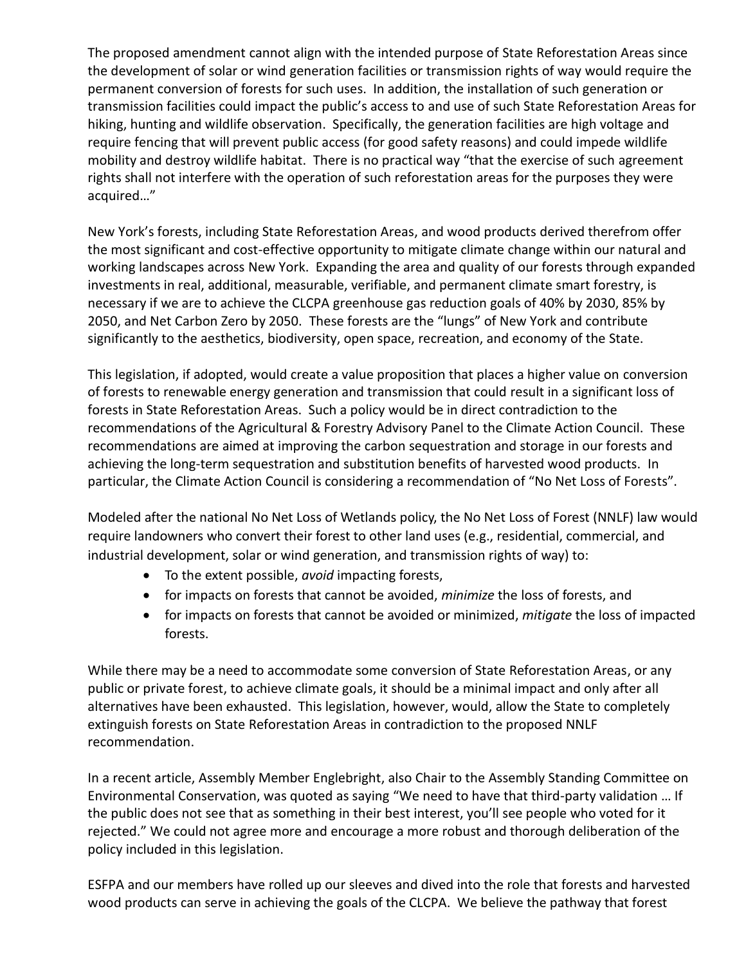The proposed amendment cannot align with the intended purpose of State Reforestation Areas since the development of solar or wind generation facilities or transmission rights of way would require the permanent conversion of forests for such uses. In addition, the installation of such generation or transmission facilities could impact the public's access to and use of such State Reforestation Areas for hiking, hunting and wildlife observation. Specifically, the generation facilities are high voltage and require fencing that will prevent public access (for good safety reasons) and could impede wildlife mobility and destroy wildlife habitat. There is no practical way "that the exercise of such agreement rights shall not interfere with the operation of such reforestation areas for the purposes they were acquired…"

New York's forests, including State Reforestation Areas, and wood products derived therefrom offer the most significant and cost-effective opportunity to mitigate climate change within our natural and working landscapes across New York. Expanding the area and quality of our forests through expanded investments in real, additional, measurable, verifiable, and permanent climate smart forestry, is necessary if we are to achieve the CLCPA greenhouse gas reduction goals of 40% by 2030, 85% by 2050, and Net Carbon Zero by 2050. These forests are the "lungs" of New York and contribute significantly to the aesthetics, biodiversity, open space, recreation, and economy of the State.

This legislation, if adopted, would create a value proposition that places a higher value on conversion of forests to renewable energy generation and transmission that could result in a significant loss of forests in State Reforestation Areas. Such a policy would be in direct contradiction to the recommendations of the Agricultural & Forestry Advisory Panel to the Climate Action Council. These recommendations are aimed at improving the carbon sequestration and storage in our forests and achieving the long-term sequestration and substitution benefits of harvested wood products. In particular, the Climate Action Council is considering a recommendation of "No Net Loss of Forests".

Modeled after the national No Net Loss of Wetlands policy, the No Net Loss of Forest (NNLF) law would require landowners who convert their forest to other land uses (e.g., residential, commercial, and industrial development, solar or wind generation, and transmission rights of way) to:

- To the extent possible, *avoid* impacting forests,
- for impacts on forests that cannot be avoided, *minimize* the loss of forests, and
- for impacts on forests that cannot be avoided or minimized, *mitigate* the loss of impacted forests.

While there may be a need to accommodate some conversion of State Reforestation Areas, or any public or private forest, to achieve climate goals, it should be a minimal impact and only after all alternatives have been exhausted. This legislation, however, would, allow the State to completely extinguish forests on State Reforestation Areas in contradiction to the proposed NNLF recommendation.

In a recent article, Assembly Member Englebright, also Chair to the Assembly Standing Committee on Environmental Conservation, was quoted as saying "We need to have that third-party validation … If the public does not see that as something in their best interest, you'll see people who voted for it rejected." We could not agree more and encourage a more robust and thorough deliberation of the policy included in this legislation.

ESFPA and our members have rolled up our sleeves and dived into the role that forests and harvested wood products can serve in achieving the goals of the CLCPA. We believe the pathway that forest